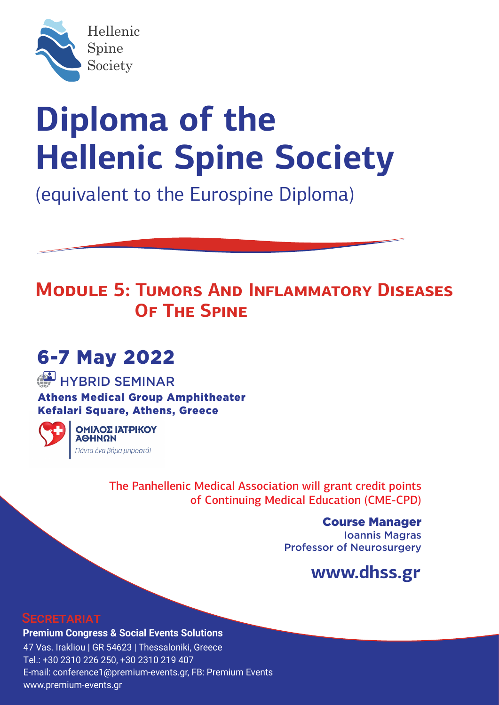

(equivalent to the Eurospine Diploma)

## **MODULE 5: TUMORS AND INFLAMMATORY DISEASES OF THE SPINE**

# 6-7 May 2022

## **HYBRID SEMINAR**

Athens Medical Group Amphitheater Kefalari Square, Athens, Greece



ΟΜΙΛΟΣ ΙΑΤΡΙΚΟΥ **NQHHQ** Πάντα ένα βήμα μπροστά!

> Τhe Panhellenic Medical Association will grant credit points of Continuing Medical Education (CME-CPD)

> > Course Manager Ioannis Magras Professor of Neurosurgery

## **www.dhss.gr**

#### **SECRETARIAT**

**Premium Congress & Social Events Solutions** 47 Vas. Irakliou | GR 54623 | Thessaloniki, Greece Tel.: +30 2310 226 250, +30 2310 219 407 E-mail: conference1@premium-events.gr, FB: Premium Events www.premium-events.gr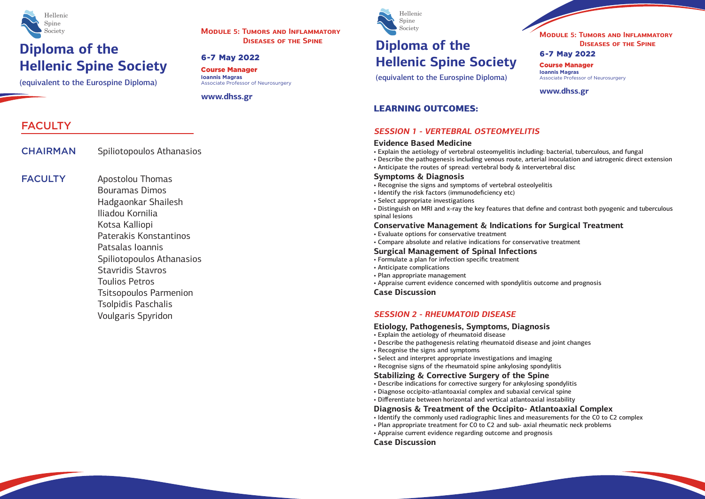(equivalent to the Eurospine Diploma)



Course Manager **Ioannis Magras** Associate Professor of Neurosurgery

**www.dhss.gr**

#### 6-7 May 2022

**MODULE 5: TUMORS AND INFLAMMATORY**

# **Hellenic Spine Society**



(equivalent to the Eurospine Diploma)

Course Manager **Ioannis Magras** Associate Professor of Neurosurgery

**www.dhss.gr**

#### 6-7 May 2022

**MODULE 5: TUMORS AND INFLAMMATORY DISEASES OF THE SPINE**

## FACULTY

CHAIRMAN Spiliotopoulos Athanasios

**FACULTY** 

Apostolou Thomas Bouramas Dimos Hadgaonkar Shailesh Iliadou Kornilia Kotsa Kalliopi Paterakis Konstantinos Patsalas Ioannis Spiliotopoulos Athanasios Stavridis Stavros Toulios Petros Tsitsopoulos Parmenion Tsolpidis Paschalis Voulgaris Spyridon

### LEARNING OUTCOMES:

#### **SESSION 1 - VERTEBRAL OSTEOMYELITIS**

#### **Evidence Based Medicine**

- Explain the aetiology of vertebral osteomyelitis including: bacterial, tuberculous, and fungal
- Describe the pathogenesis including venous route, arterial inoculation and iatrogenic direct extension
- Anticipate the routes of spread: vertebral body & intervertebral disc

#### **Symptoms & Diagnosis**

- Recognise the signs and symptoms of vertebral osteolyelitis
- Identify the risk factors (immunodeficiency etc)
- Select appropriate investigations
- Distinguish on MRI and x-ray the key features that define and contrast both pyogenic and tuberculous spinal lesions

### **Conservative Management & Indications for Surgical Treatment**

- Evaluate options for conservative treatment
- Compare absolute and relative indications for conservative treatment

#### **Surgical Management of Spinal Infections**

- Formulate a plan for infection specific treatment
- Anticipate complications
- Plan appropriate management
- Appraise current evidence concerned with spondylitis outcome and prognosis

#### **Case Discussion**

#### **SESSION 2 - RHEUMATOID DISEASE**

#### **Etiology, Pathogenesis, Symptoms, Diagnosis**

- Explain the aetiology of rheumatoid disease
- Describe the pathogenesis relating rheumatoid disease and joint changes
- Recognise the signs and symptoms
- Select and interpret appropriate investigations and imaging
- Recognise signs of the rheumatoid spine ankylosing spondylitis

### **Stabilizing & Corrective Surgery of the Spine**

- Describe indications for corrective surgery for ankylosing spondylitis
- Diagnose occipito-atlantoaxial complex and subaxial cervical spine
- Differentiate between horizontal and vertical atlantoaxial instability

### **Diagnosis & Treatment of the Occipito- Atlantoaxial Complex**

- Identify the commonly used radiographic lines and measurements for the C0 to C2 complex
- Plan appropriate treatment for C0 to C2 and sub- axial rheumatic neck problems
- Appraise current evidence regarding outcome and prognosis

**Case Discussion**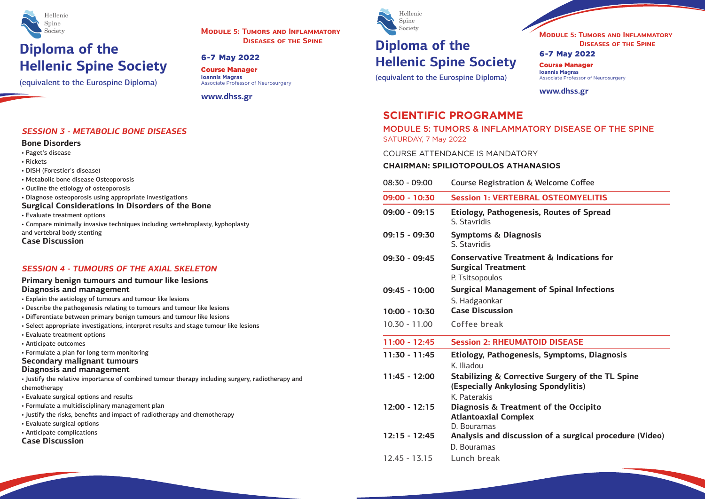(equivalent to the Eurospine Diploma)



Course Manager **Ioannis Magras** Associate Professor of Neurosurgery

# **DISEASES OF THE SPINE Diploma of the Hellenic Spine Society**

#### **www.dhss.gr**

#### 6-7 May 2022

**MODULE 5: TUMORS AND INFLAMMATORY**

(equivalent to the Eurospine Diploma)



Course Manager **Ioannis Magras** Associate Professor of Neurosurgery

**www.dhss.gr**

Welcome Coffee

#### 6-7 May 2022

**MODULE 5: TUMORS AND INFLAMMATORY DISEASES OF THE SPINE**

### **SCIENTIFIC PROGRAMME**

MODULE 5: TUMORS & INFLAMMATORY DISEASE OF THE SPINE SATURDAY, 7 May 2022

**09:00 - 10:30 Session 1: VERTEBRAL OSTEOMYELITIS**

**6. Routes of Spread** 

**Conservative Treatment & Indications for** 

**of Spinal Infections** 

#### $10$  DISEASE

**11:30 - 11:45 Etiology, Pathogenesis, Symptoms, Diagnosis**

**12:45 - 11:45 Surgery of the TL Spine (Spondylitis)** 

**12:00 - 12:15 Diagnosis & Treatment of the Occipito**

**12:15 - 12:45 Analysis and discussion of a surgical procedure (Video)**

COURSE ATTENDANCE IS MANDATORY

### **CHAIRMAN: SPILIOTOPOULOS ATHANASIOS**

**SESSION 3 - METABOLIC BONE DISEASES**

**Bone Disorders** • Paget's disease

• Rickets

• DISH (Forestier's disease)

| • Metabolic bone disease Osteoporosis<br>• Outline the etiology of osteoporosis                                                                                                                                                                                                                                                                                                                                               | $08:30 - 09:00$                    | <b>Course Registration &amp; W</b>                                              |
|-------------------------------------------------------------------------------------------------------------------------------------------------------------------------------------------------------------------------------------------------------------------------------------------------------------------------------------------------------------------------------------------------------------------------------|------------------------------------|---------------------------------------------------------------------------------|
| • Diagnose osteoporosis using appropriate investigations                                                                                                                                                                                                                                                                                                                                                                      | 09:00 - 10:30                      | <b>Session 1: VERTEBRAL</b>                                                     |
| <b>Surgical Considerations In Disorders of the Bone</b><br>• Evaluate treatment options<br>• Compare minimally invasive techniques including vertebroplasty, kyphoplasty                                                                                                                                                                                                                                                      | $09:00 - 09:15$                    | <b>Etiology, Pathogenesis,</b><br>S. Stavridis                                  |
| and vertebral body stenting<br><b>Case Discussion</b>                                                                                                                                                                                                                                                                                                                                                                         | $09:15 - 09:30$                    | <b>Symptoms &amp; Diagnosis</b><br>S. Stavridis                                 |
| <b>SESSION 4 - TUMOURS OF THE AXIAL SKELETON</b>                                                                                                                                                                                                                                                                                                                                                                              | $09:30 - 09:45$                    | <b>Conservative Treatmen</b><br><b>Surgical Treatment</b>                       |
| Primary benign tumours and tumour like lesions<br>Diagnosis and management<br>• Explain the aetiology of tumours and tumour like lesions<br>• Describe the pathogenesis relating to tumours and tumour like lesions                                                                                                                                                                                                           | $09:45 - 10:00$                    | P. Tsitsopoulos<br><b>Surgical Management o</b><br>S. Hadgaonkar                |
| • Differentiate between primary benign tumours and tumour like lesions                                                                                                                                                                                                                                                                                                                                                        | $10:00 - 10:30$                    | <b>Case Discussion</b>                                                          |
| · Select appropriate investigations, interpret results and stage tumour like lesions<br>• Evaluate treatment options<br>• Anticipate outcomes<br>• Formulate a plan for long term monitoring<br><b>Secondary malignant tumours</b><br>Diagnosis and management<br>• Justify the relative importance of combined tumour therapy including surgery, radiotherapy and<br>chemotherapy<br>• Evaluate surgical options and results | $10.30 - 11.00$<br>$11:00 - 12:45$ | Coffee break<br><b>Session 2: RHEUMATOI</b>                                     |
|                                                                                                                                                                                                                                                                                                                                                                                                                               | $11:30 - 11:45$                    | <b>Etiology, Pathogenesis,</b><br>K. Iliadou                                    |
|                                                                                                                                                                                                                                                                                                                                                                                                                               | $11:45 - 12:00$                    | <b>Stabilizing &amp; Corrective</b><br>(Especially Ankylosing !<br>K. Paterakis |
| · Formulate a multidisciplinary management plan<br>• Justify the risks, benefits and impact of radiotherapy and chemotherapy<br>• Evaluate surgical options                                                                                                                                                                                                                                                                   | $12:00 - 12:15$                    | <b>Diagnosis &amp; Treatment</b><br><b>Atlantoaxial Complex</b><br>D. Bouramas  |
| • Anticipate complications<br><b>Case Discussion</b>                                                                                                                                                                                                                                                                                                                                                                          | $12:15 - 12:45$                    | <b>Analysis and discussior</b><br>D. Bouramas                                   |
|                                                                                                                                                                                                                                                                                                                                                                                                                               | $12.45 - 13.15$                    | Lunch break                                                                     |
|                                                                                                                                                                                                                                                                                                                                                                                                                               |                                    |                                                                                 |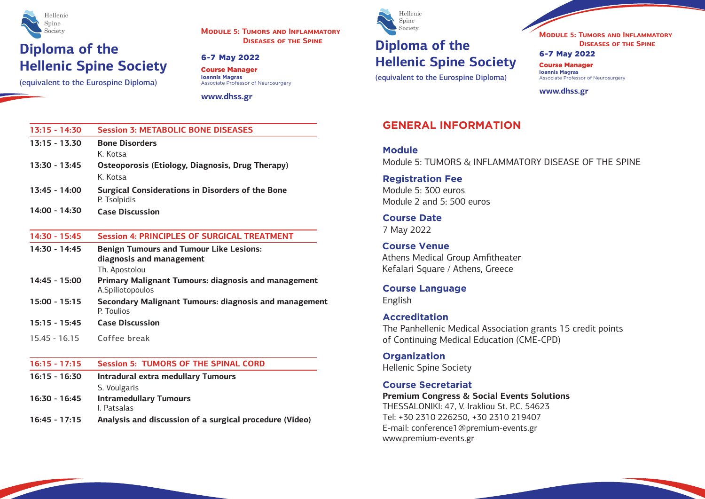(equivalent to the Eurospine Diploma)



Course Manager **Ioannis Magras** Associate Professor of Neurosurgery

# **DISEASES OF THE SPINE Diploma of the Hellenic Spine Society**

**www.dhss.gr**

#### 6-7 May 2022

**MODULE 5: TUMORS AND INFLAMMATORY**

(equivalent to the Eurospine Diploma)



Course Manager **Ioannis Magras** Associate Professor of Neurosurgery

**www.dhss.gr**

#### 6-7 May 2022

**MODULE 5: TUMORS AND INFLAMMATORY DISEASES OF THE SPINE**

### **GENERAL INFORMATION**

**Module** Module 5: TUMORS & INFLAMMATORY DISEASE OF THE SPINE

**Registration Fee** Module 5: 300 euros Module 2 and 5: 500 euros

**Course Date** 7 May 2022

**Course Language** English

### **Accreditation**

Τhe Panhellenic Medical Association grants 15 credit points of Continuing Medical Education (CME-CPD)

**Course Venue** Athens Medical Group Amfitheater Kefalari Square / Athens, Greece

**Organization** Hellenic Spine Society

### **Course Secretariat**

**Premium Congress & Social Events Solutions** THESSALONIKI: 47, V. Irakliou St. P.C. 54623 Τel: +30 2310 226250, +30 2310 219407 E-mail: conference1@premium-events.gr www.premium-events.gr

| $13:15 - 14:30$ | <b>Session 3: METABOLIC BONE DISEASES</b>                                      |  |
|-----------------|--------------------------------------------------------------------------------|--|
| $13:15 - 13.30$ | <b>Bone Disorders</b>                                                          |  |
|                 | K. Kotsa                                                                       |  |
| $13:30 - 13:45$ | Osteoporosis (Etiology, Diagnosis, Drug Therapy)                               |  |
|                 | K. Kotsa                                                                       |  |
| $13:45 - 14:00$ | <b>Surgical Considerations in Disorders of the Bone</b><br>P. Tsolpidis        |  |
| 14:00 - 14:30   | <b>Case Discussion</b>                                                         |  |
| $14:30 - 15:45$ | <b>Session 4: PRINCIPLES OF SURGICAL TREATMENT</b>                             |  |
| 14:30 - 14:45   | <b>Benign Tumours and Tumour Like Lesions:</b>                                 |  |
|                 | diagnosis and management                                                       |  |
|                 | Th. Apostolou                                                                  |  |
| 14:45 - 15:00   | <b>Primary Malignant Tumours: diagnosis and management</b><br>A.Spiliotopoulos |  |
| $15:00 - 15:15$ | Secondary Malignant Tumours: diagnosis and management<br>P. Toulios            |  |
| $15:15 - 15:45$ | <b>Case Discussion</b>                                                         |  |
| $15.45 - 16.15$ | Coffee break                                                                   |  |
| $16:15 - 17:15$ | <b>Session 5: TUMORS OF THE SPINAL CORD</b>                                    |  |
| $16:15 - 16:30$ | <b>Intradural extra medullary Tumours</b>                                      |  |
|                 | S. Voulgaris                                                                   |  |
| 16:30 - 16:45   | <b>Intramedullary Tumours</b><br>I. Patsalas                                   |  |
| $16:45 - 17:15$ | Analysis and discussion of a surgical procedure (Video)                        |  |